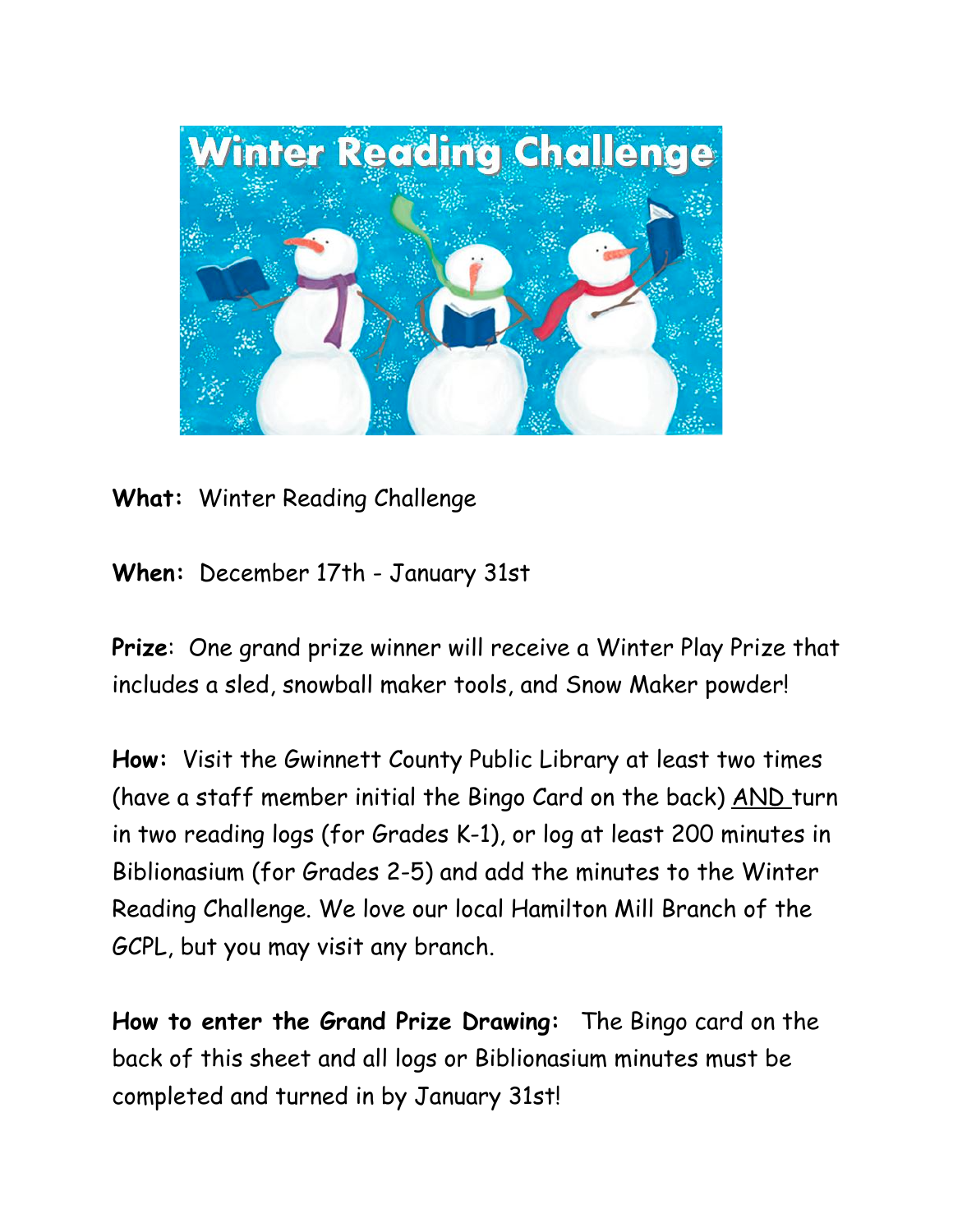

## **What:** Winter Reading Challenge

**When:** December 17th - January 31st

**Prize**: One grand prize winner will receive a Winter Play Prize that includes a sled, snowball maker tools, and Snow Maker powder!

**How:** Visit the Gwinnett County Public Library at least two times (have a staff member initial the Bingo Card on the back) AND turn in two reading logs (for Grades K-1), or log at least 200 minutes in Biblionasium (for Grades 2-5) and add the minutes to the Winter Reading Challenge. We love our local Hamilton Mill Branch of the GCPL, but you may visit any branch.

**How to enter the Grand Prize Drawing:** The Bingo card on the back of this sheet and all logs or Biblionasium minutes must be completed and turned in by January 31st!